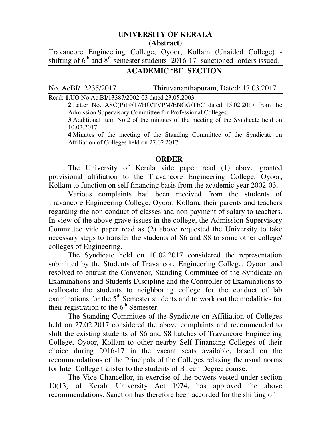## **UNIVERSITY OF KERALA (Abstract)**

Travancore Engineering College, Oyoor, Kollam (Unaided College) shifting of  $6<sup>th</sup>$  and  $8<sup>th</sup>$  semester students- 2016-17- sanctioned- orders issued.

## **ACADEMIC 'BI' SECTION**

No. AcBI/12235/2017 Thiruvananthapuram, Dated: 17.03.2017

Read: **1**.UO No.Ac.BI/13387/2002-03 dated 23.05.2003 **2**.Letter No. ASC(P)19/17/HO/TVPM/ENGG/TEC dated 15.02.2017 from the

Admission Supervisory Committee for Professional Colleges.

**3**.Additional item No.2 of the minutes of the meeting of the Syndicate held on 10.02.2017.

**4**.Minutes of the meeting of the Standing Committee of the Syndicate on Affiliation of Colleges held on 27.02.2017

## **ORDER**

 The University of Kerala vide paper read (1) above granted provisional affiliation to the Travancore Engineering College, Oyoor, Kollam to function on self financing basis from the academic year 2002-03.

Various complaints had been received from the students of Travancore Engineering College, Oyoor, Kollam, their parents and teachers regarding the non conduct of classes and non payment of salary to teachers. In view of the above grave issues in the college, the Admission Supervisory Committee vide paper read as (2) above requested the University to take necessary steps to transfer the students of S6 and S8 to some other college/ colleges of Engineering.

The Syndicate held on 10.02.2017 considered the representation submitted by the Students of Travancore Engineering College, Oyoor and resolved to entrust the Convenor, Standing Committee of the Syndicate on Examinations and Students Discipline and the Controller of Examinations to reallocate the students to neighboring college for the conduct of lab examinations for the  $5<sup>th</sup>$  Semester students and to work out the modalities for their registration to the  $6<sup>th</sup>$  Semester.

The Standing Committee of the Syndicate on Affiliation of Colleges held on 27.02.2017 considered the above complaints and recommended to shift the existing students of S6 and S8 batches of Travancore Engineering College, Oyoor, Kollam to other nearby Self Financing Colleges of their choice during 2016-17 in the vacant seats available, based on the recommendations of the Principals of the Colleges relaxing the usual norms for Inter College transfer to the students of BTech Degree course.

The Vice Chancellor, in exercise of the powers vested under section 10(13) of Kerala University Act 1974, has approved the above recommendations. Sanction has therefore been accorded for the shifting of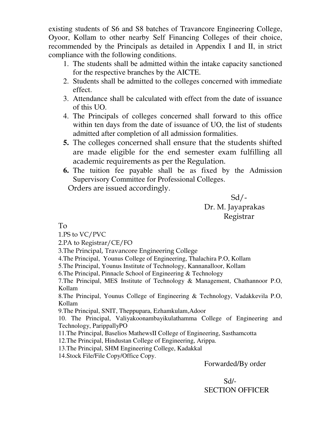existing students of S6 and S8 batches of Travancore Engineering College, Oyoor, Kollam to other nearby Self Financing Colleges of their choice, recommended by the Principals as detailed in Appendix I and II, in strict compliance with the following conditions.

- 1. The students shall be admitted within the intake capacity sanctioned for the respective branches by the AICTE.
- 2. Students shall be admitted to the colleges concerned with immediate effect.
- 3. Attendance shall be calculated with effect from the date of issuance of this UO.
- 4. The Principals of colleges concerned shall forward to this office within ten days from the date of issuance of UO, the list of students admitted after completion of all admission formalities.
- **5.** The colleges concerned shall ensure that the students shifted are made eligible for the end semester exam fulfilling all academic requirements as per the Regulation.
- **6.** The tuition fee payable shall be as fixed by the Admission Supervisory Committee for Professional Colleges.

Orders are issued accordingly.

 $Sd$ -Dr. M. Jayaprakas Registrar

To

1.PS to VC/PVC

2.PA to Registrar/CE/FO

3.The Principal, Travancore Engineering College

4.The Principal, Younus College of Engineering, Thalachira P.O, Kollam

5.The Principal, Younus Institute of Technology, Kannanalloor, Kollam

6.The Principal, Pinnacle School of Engineering & Technology

7.The Principal, MES Institute of Technology & Management, Chathannoor P.O, Kollam

8.The Principal, Younus College of Engineering & Technology, Vadakkevila P.O, Kollam

9.The Principal, SNIT, Theppupara, Ezhamkulam,Adoor

10. The Principal, Valiyakoonambayikulathamma College of Engineering and Technology, ParippallyPO

11.The Principal, Baselios MathewsII College of Engineering, Sasthamcotta

12.The Principal, Hindustan College of Engineering, Arippa.

13.The Principal, SHM Engineering College, Kadakkal

14.Stock File/File Copy/Office Copy.

Forwarded/By order

 Sd/- SECTION OFFICER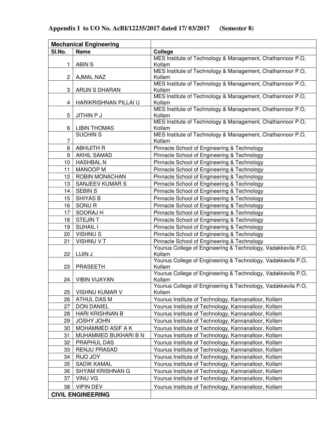|                          | <b>Mechanical Engineering</b>               |                                                                                                              |
|--------------------------|---------------------------------------------|--------------------------------------------------------------------------------------------------------------|
| SI.No.                   | <b>Name</b>                                 | College                                                                                                      |
|                          |                                             | MES Institute of Technology & Management, Chathannoor P.O,                                                   |
| 1                        | <b>ABIN S</b>                               | Kollam                                                                                                       |
| 2                        | <b>AJMAL NAZ</b>                            | MES Institute of Technology & Management, Chathannoor P.O,<br>Kollam                                         |
|                          |                                             | MES Institute of Technology & Management, Chathannoor P.O,                                                   |
| 3                        | ARUN S DHARAN                               | Kollam                                                                                                       |
|                          |                                             | MES Institute of Technology & Management, Chathannoor P.O,                                                   |
| 4                        | HARIKRISHNAN PILLAI U                       | Kollam                                                                                                       |
|                          |                                             | MES Institute of Technology & Management, Chathannoor P.O,                                                   |
| 5                        | <b>JITHIN P J</b>                           | Kollam<br>MES Institute of Technology & Management, Chathannoor P.O,                                         |
| 6                        | <b>LIBIN THOMAS</b>                         | Kollam                                                                                                       |
|                          | <b>SUCHIN S</b>                             | MES Institute of Technology & Management, Chathannoor P.O,                                                   |
| 7                        |                                             | Kollam                                                                                                       |
| 8                        | <b>ABHIJITH R</b>                           | Pinnacle School of Engineering & Technology                                                                  |
| 9                        | <b>AKHIL SAMAD</b>                          | Pinnacle School of Engineering & Technology                                                                  |
| 10                       | <b>HASHBAL N</b>                            | Pinnacle School of Engineering & Technology                                                                  |
| 11                       | <b>MANOOP M</b>                             | Pinnacle School of Engineering & Technology                                                                  |
| 12                       | ROBIN MONACHAN                              | Pinnacle School of Engineering & Technology                                                                  |
| 13                       | SANJEEV KUMAR S                             | Pinnacle School of Engineering & Technology                                                                  |
| 14                       | <b>SEBIN S</b>                              | Pinnacle School of Engineering & Technology                                                                  |
| 15                       | SHIYAS B                                    | Pinnacle School of Engineering & Technology                                                                  |
| 16                       | SONU <sub>R</sub>                           | Pinnacle School of Engineering & Technology                                                                  |
| 17                       | SOORAJ H                                    | Pinnacle School of Engineering & Technology                                                                  |
| 18                       | <b>STEJINT</b>                              | Pinnacle School of Engineering & Technology                                                                  |
| 19                       | <b>SUHAIL I</b>                             | Pinnacle School of Engineering & Technology                                                                  |
| 20                       | <b>VISHNUS</b>                              | Pinnacle School of Engineering & Technology                                                                  |
| 21                       | <b>VISHNU V T</b>                           | Pinnacle School of Engineering & Technology                                                                  |
|                          |                                             | Younus College of Engineering & Technology, Vadakkevila P.O,                                                 |
| 22                       | LIJIN J                                     | Kollam<br>Younus College of Engineering & Technology, Vadakkevila P.O,                                       |
| 23                       | <b>PRASEETH</b>                             | Kollam                                                                                                       |
|                          |                                             | Younus College of Engineering & Technology, Vadakkevila P.O,                                                 |
| 24                       | VIBIN VIJAYAN                               | Kollam                                                                                                       |
|                          |                                             | Younus College of Engineering & Technology, Vadakkevila P.O,                                                 |
| 25                       | <b>VISHNU KUMAR V</b>                       | Kollam                                                                                                       |
| 26                       | <b>ATHUL DAS M</b>                          | Younus Institute of Technology, Kannanalloor, Kollam                                                         |
| 27                       | <b>DON DANIEL</b>                           | Younus Institute of Technology, Kannanalloor, Kollam                                                         |
| 28                       | <b>HARI KRISHNAN B</b><br><b>JOSHY JOHN</b> | Younus Institute of Technology, Kannanalloor, Kollam                                                         |
| 29                       |                                             | Younus Institute of Technology, Kannanalloor, Kollam                                                         |
| 30                       | MOHAMMED ASIF A K<br>MUHAMMED BUKHARI B N   | Younus Institute of Technology, Kannanalloor, Kollam                                                         |
| 31<br>32                 | PRAPHUL DAS                                 | Younus Institute of Technology, Kannanalloor, Kollam<br>Younus Institute of Technology, Kannanalloor, Kollam |
| 33                       | <b>RENJU PRASAD</b>                         | Younus Institute of Technology, Kannanalloor, Kollam                                                         |
| 34                       | RIJO JOY                                    | Younus Institute of Technology, Kannanalloor, Kollam                                                         |
| 35                       | <b>SADIK KAMAL</b>                          | Younus Institute of Technology, Kannanalloor, Kollam                                                         |
| 36                       | SHYAM KRISHNAN G                            | Younus Institute of Technology, Kannanalloor, Kollam                                                         |
| 37                       | <b>VINU VG</b>                              | Younus Institute of Technology, Kannanalloor, Kollam                                                         |
|                          |                                             |                                                                                                              |
| 38                       | <b>VIPIN DEV</b>                            | Younus Institute of Technology, Kannanalloor, Kollam                                                         |
| <b>CIVIL ENGINEERING</b> |                                             |                                                                                                              |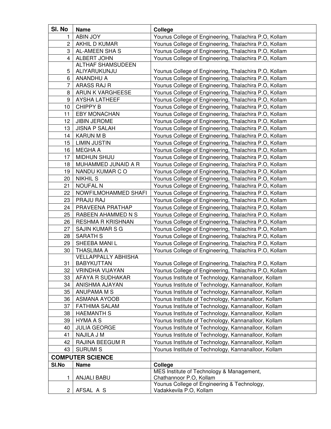| SI. No                  | <b>Name</b>                              | College                                                                |
|-------------------------|------------------------------------------|------------------------------------------------------------------------|
| 1                       | ABIN JOY                                 | Younus College of Engineering, Thalachira P.O, Kollam                  |
| 2                       | AKHIL D KUMAR                            | Younus College of Engineering, Thalachira P.O, Kollam                  |
| 3                       | AL-AMEEN SHA S                           | Younus College of Engineering, Thalachira P.O, Kollam                  |
| 4                       | ALBERT JOHN                              | Younus College of Engineering, Thalachira P.O, Kollam                  |
| 5                       | <b>ALTHAF SHAMSUDEEN</b><br>ALIYARUKUNJU | Younus College of Engineering, Thalachira P.O, Kollam                  |
| 6                       | ANANDHU A                                | Younus College of Engineering, Thalachira P.O, Kollam                  |
| 7                       | ARASS RAJ R                              | Younus College of Engineering, Thalachira P.O, Kollam                  |
| 8                       | ARUN K VARGHEESE                         | Younus College of Engineering, Thalachira P.O, Kollam                  |
| 9                       | <b>AYSHA LATHEEF</b>                     | Younus College of Engineering, Thalachira P.O, Kollam                  |
| 10                      | CHIPPY B                                 | Younus College of Engineering, Thalachira P.O, Kollam                  |
| 11                      | <b>EBY MONACHAN</b>                      | Younus College of Engineering, Thalachira P.O, Kollam                  |
| 12                      | <b>JIBIN JEROME</b>                      | Younus College of Engineering, Thalachira P.O, Kollam                  |
| 13                      | <b>JISNA P SALAH</b>                     | Younus College of Engineering, Thalachira P.O, Kollam                  |
| 14                      | <b>KARUN M B</b>                         | Younus College of Engineering, Thalachira P.O, Kollam                  |
| 15                      | <b>LIMIN JUSTIN</b>                      | Younus College of Engineering, Thalachira P.O, Kollam                  |
| 16                      | MEGHA A                                  | Younus College of Engineering, Thalachira P.O, Kollam                  |
| 17                      | MIDHUN SHIJU                             | Younus College of Engineering, Thalachira P.O, Kollam                  |
| 18                      | MUHAMMED JUNAID A R                      | Younus College of Engineering, Thalachira P.O, Kollam                  |
| 19                      | NANDU KUMAR CO                           | Younus College of Engineering, Thalachira P.O, Kollam                  |
| 20                      | <b>NIKHIL S</b>                          | Younus College of Engineering, Thalachira P.O, Kollam                  |
| 21                      | <b>NOUFAL N</b>                          | Younus College of Engineering, Thalachira P.O, Kollam                  |
| 22                      | NOWFILMOHAMMED SHAFI                     | Younus College of Engineering, Thalachira P.O, Kollam                  |
| 23                      | PRAJU RAJ                                | Younus College of Engineering, Thalachira P.O, Kollam                  |
| 24                      | PRAVEENA PRATHAP                         | Younus College of Engineering, Thalachira P.O, Kollam                  |
| 25                      | RABEEN AHAMMED N S                       | Younus College of Engineering, Thalachira P.O, Kollam                  |
| 26                      | <b>RESHMA R KRISHNAN</b>                 | Younus College of Engineering, Thalachira P.O, Kollam                  |
| 27                      | SAJIN KUMAR S G                          | Younus College of Engineering, Thalachira P.O, Kollam                  |
| 28                      | <b>SARATH S</b>                          | Younus College of Engineering, Thalachira P.O, Kollam                  |
| 29                      | SHEEBA MANIL                             | Younus College of Engineering, Thalachira P.O, Kollam                  |
| 30                      | <b>THASLIMA A</b>                        | Younus College of Engineering, Thalachira P.O, Kollam                  |
|                         | <b>VELLAPPALLY ABHISHA</b>               |                                                                        |
| 31                      | <b>BABYKUTTAN</b>                        | Younus College of Engineering, Thalachira P.O, Kollam                  |
| 32                      | <b>VRINDHA VIJAYAN</b>                   | Younus College of Engineering, Thalachira P.O, Kollam                  |
| 33                      | AFAYA R SUDHAKAR                         | Younus Institute of Technology, Kannanalloor, Kollam                   |
| 34                      | ANISHMA AJAYAN                           | Younus Institute of Technology, Kannanalloor, Kollam                   |
| 35                      | ANUPAMA M S                              | Younus Institute of Technology, Kannanalloor, Kollam                   |
| 36                      | ASMANA AYOOB                             | Younus Institute of Technology, Kannanalloor, Kollam                   |
| 37                      | <b>FATHIMA SALAM</b>                     | Younus Institute of Technology, Kannanalloor, Kollam                   |
| 38                      | <b>HAEMANTH S</b>                        | Younus Institute of Technology, Kannanalloor, Kollam                   |
| 39                      | <b>HYMA A S</b>                          | Younus Institute of Technology, Kannanalloor, Kollam                   |
| 40                      | <b>JULIA GEORGE</b>                      | Younus Institute of Technology, Kannanalloor, Kollam                   |
| 41                      | NAJILA J M                               | Younus Institute of Technology, Kannanalloor, Kollam                   |
| 42                      | RAJINA BEEGUM R                          | Younus Institute of Technology, Kannanalloor, Kollam                   |
| 43                      | <b>SURUMIS</b>                           | Younus Institute of Technology, Kannanalloor, Kollam                   |
| <b>COMPUTER SCIENCE</b> |                                          |                                                                        |
| SI.No                   | <b>Name</b>                              | College                                                                |
| 1                       | ANJALI BABU                              | MES Institute of Technology & Management,<br>Chathannoor P.O, Kollam   |
| 2                       | AFSAL A S                                | Younus College of Engineering & Technology,<br>Vadakkevila P.O, Kollam |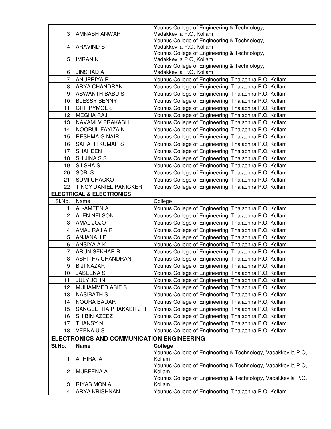| Younus College of Engineering & Technology,<br><b>ARAVIND S</b><br>Vadakkevila P.O, Kollam<br>4<br>Younus College of Engineering & Technology,<br>5<br><b>IMRAN N</b><br>Vadakkevila P.O, Kollam<br>Younus College of Engineering & Technology,<br>Vadakkevila P.O, Kollam<br><b>JINSHAD A</b><br>6<br>7<br>Younus College of Engineering, Thalachira P.O, Kollam<br><b>ANUPRIYA R</b><br><b>ARYA CHANDRAN</b><br>Younus College of Engineering, Thalachira P.O, Kollam<br>8<br>Younus College of Engineering, Thalachira P.O, Kollam<br>9<br>ASWANTH BABU S<br><b>BLESSY BENNY</b><br>Younus College of Engineering, Thalachira P.O, Kollam<br>10<br><b>CHIPPYMOL S</b><br>Younus College of Engineering, Thalachira P.O, Kollam<br>11<br>12<br><b>MEGHA RAJ</b><br>Younus College of Engineering, Thalachira P.O, Kollam<br>NAVAMI V PRAKASH<br>Younus College of Engineering, Thalachira P.O, Kollam<br>13<br>NOORUL FAYIZA N<br>Younus College of Engineering, Thalachira P.O, Kollam<br>14<br><b>RESHMA G NAIR</b><br>Younus College of Engineering, Thalachira P.O, Kollam<br>15<br>SARATH KUMAR S<br>Younus College of Engineering, Thalachira P.O, Kollam<br>16<br><b>SHAHEEN</b><br>Younus College of Engineering, Thalachira P.O, Kollam<br>17<br>SHIJINA S S<br>Younus College of Engineering, Thalachira P.O, Kollam<br>18<br>SILSHA <sub>S</sub><br>Younus College of Engineering, Thalachira P.O, Kollam<br>19<br>SOBI <sub>S</sub><br>Younus College of Engineering, Thalachira P.O, Kollam<br>20<br><b>SUMI CHACKO</b><br>Younus College of Engineering, Thalachira P.O, Kollam<br>21<br>22<br>TINCY DANIEL PANICKER<br>Younus College of Engineering, Thalachira P.O, Kollam<br><b>ELECTRICAL &amp; ELECTRONICS</b><br>Name<br>SI.No.<br>College<br>AL-AMEEN A<br>Younus College of Engineering, Thalachira P.O, Kollam<br>1<br>ALEN NELSON<br>Younus College of Engineering, Thalachira P.O, Kollam<br>$\overline{2}$<br>AMAL JOJO<br>Younus College of Engineering, Thalachira P.O, Kollam<br>3<br>Younus College of Engineering, Thalachira P.O, Kollam<br>AMAL RAJ A R<br>4<br>Younus College of Engineering, Thalachira P.O, Kollam<br>5<br>ANJANA J P<br>ANSIYA A K<br>6<br>Younus College of Engineering, Thalachira P.O, Kollam<br>7<br>ARUN SEKHAR R<br>Younus College of Engineering, Thalachira P.O, Kollam<br><b>ASHITHA CHANDRAN</b><br>Younus College of Engineering, Thalachira P.O, Kollam<br>8<br>Younus College of Engineering, Thalachira P.O, Kollam<br>9<br><b>BIJI NAZAR</b><br><b>JASEENA S</b><br>Younus College of Engineering, Thalachira P.O, Kollam<br>10<br><b>JULY JOHN</b><br>Younus College of Engineering, Thalachira P.O, Kollam<br>11<br>MUHAMMED ASIF S<br>Younus College of Engineering, Thalachira P.O, Kollam<br>12<br><b>NASIBATH S</b><br>Younus College of Engineering, Thalachira P.O, Kollam<br>13<br>NOORA BADAR<br>Younus College of Engineering, Thalachira P.O, Kollam<br>14<br>SANGEETHA PRAKASH J R<br>Younus College of Engineering, Thalachira P.O, Kollam<br>15<br>Younus College of Engineering, Thalachira P.O, Kollam<br>SHIBIN AZEEZ<br>16<br><b>THANSY N</b><br>Younus College of Engineering, Thalachira P.O, Kollam<br>17<br>Younus College of Engineering, Thalachira P.O, Kollam<br><b>VEENAUS</b><br>18<br><b>ELECTRONICS AND COMMUNICATION ENGINEERING</b><br>SI.No.<br><b>Name</b><br>College<br>Younus College of Engineering & Technology, Vadakkevila P.O,<br>ATHIRA A<br>Kollam<br>1<br>Younus College of Engineering & Technology, Vadakkevila P.O,<br>$\overline{c}$<br>MUBEENA A<br>Kollam<br>Younus College of Engineering & Technology, Vadakkevila P.O,<br><b>RIYAS MON A</b><br>3<br>Kollam<br>Younus College of Engineering, Thalachira P.O, Kollam<br>ARYA KRISHNAN<br>4 |   |              | Younus College of Engineering & Technology, |
|-------------------------------------------------------------------------------------------------------------------------------------------------------------------------------------------------------------------------------------------------------------------------------------------------------------------------------------------------------------------------------------------------------------------------------------------------------------------------------------------------------------------------------------------------------------------------------------------------------------------------------------------------------------------------------------------------------------------------------------------------------------------------------------------------------------------------------------------------------------------------------------------------------------------------------------------------------------------------------------------------------------------------------------------------------------------------------------------------------------------------------------------------------------------------------------------------------------------------------------------------------------------------------------------------------------------------------------------------------------------------------------------------------------------------------------------------------------------------------------------------------------------------------------------------------------------------------------------------------------------------------------------------------------------------------------------------------------------------------------------------------------------------------------------------------------------------------------------------------------------------------------------------------------------------------------------------------------------------------------------------------------------------------------------------------------------------------------------------------------------------------------------------------------------------------------------------------------------------------------------------------------------------------------------------------------------------------------------------------------------------------------------------------------------------------------------------------------------------------------------------------------------------------------------------------------------------------------------------------------------------------------------------------------------------------------------------------------------------------------------------------------------------------------------------------------------------------------------------------------------------------------------------------------------------------------------------------------------------------------------------------------------------------------------------------------------------------------------------------------------------------------------------------------------------------------------------------------------------------------------------------------------------------------------------------------------------------------------------------------------------------------------------------------------------------------------------------------------------------------------------------------------------------------------------------------------------------------------------------------------------------------------------------------------------------------------------------------------------------------------------------------------------|---|--------------|---------------------------------------------|
|                                                                                                                                                                                                                                                                                                                                                                                                                                                                                                                                                                                                                                                                                                                                                                                                                                                                                                                                                                                                                                                                                                                                                                                                                                                                                                                                                                                                                                                                                                                                                                                                                                                                                                                                                                                                                                                                                                                                                                                                                                                                                                                                                                                                                                                                                                                                                                                                                                                                                                                                                                                                                                                                                                                                                                                                                                                                                                                                                                                                                                                                                                                                                                                                                                                                                                                                                                                                                                                                                                                                                                                                                                                                                                                                                                         | 3 | AMNASH ANWAR | Vadakkevila P.O, Kollam                     |
|                                                                                                                                                                                                                                                                                                                                                                                                                                                                                                                                                                                                                                                                                                                                                                                                                                                                                                                                                                                                                                                                                                                                                                                                                                                                                                                                                                                                                                                                                                                                                                                                                                                                                                                                                                                                                                                                                                                                                                                                                                                                                                                                                                                                                                                                                                                                                                                                                                                                                                                                                                                                                                                                                                                                                                                                                                                                                                                                                                                                                                                                                                                                                                                                                                                                                                                                                                                                                                                                                                                                                                                                                                                                                                                                                                         |   |              |                                             |
|                                                                                                                                                                                                                                                                                                                                                                                                                                                                                                                                                                                                                                                                                                                                                                                                                                                                                                                                                                                                                                                                                                                                                                                                                                                                                                                                                                                                                                                                                                                                                                                                                                                                                                                                                                                                                                                                                                                                                                                                                                                                                                                                                                                                                                                                                                                                                                                                                                                                                                                                                                                                                                                                                                                                                                                                                                                                                                                                                                                                                                                                                                                                                                                                                                                                                                                                                                                                                                                                                                                                                                                                                                                                                                                                                                         |   |              |                                             |
|                                                                                                                                                                                                                                                                                                                                                                                                                                                                                                                                                                                                                                                                                                                                                                                                                                                                                                                                                                                                                                                                                                                                                                                                                                                                                                                                                                                                                                                                                                                                                                                                                                                                                                                                                                                                                                                                                                                                                                                                                                                                                                                                                                                                                                                                                                                                                                                                                                                                                                                                                                                                                                                                                                                                                                                                                                                                                                                                                                                                                                                                                                                                                                                                                                                                                                                                                                                                                                                                                                                                                                                                                                                                                                                                                                         |   |              |                                             |
|                                                                                                                                                                                                                                                                                                                                                                                                                                                                                                                                                                                                                                                                                                                                                                                                                                                                                                                                                                                                                                                                                                                                                                                                                                                                                                                                                                                                                                                                                                                                                                                                                                                                                                                                                                                                                                                                                                                                                                                                                                                                                                                                                                                                                                                                                                                                                                                                                                                                                                                                                                                                                                                                                                                                                                                                                                                                                                                                                                                                                                                                                                                                                                                                                                                                                                                                                                                                                                                                                                                                                                                                                                                                                                                                                                         |   |              |                                             |
|                                                                                                                                                                                                                                                                                                                                                                                                                                                                                                                                                                                                                                                                                                                                                                                                                                                                                                                                                                                                                                                                                                                                                                                                                                                                                                                                                                                                                                                                                                                                                                                                                                                                                                                                                                                                                                                                                                                                                                                                                                                                                                                                                                                                                                                                                                                                                                                                                                                                                                                                                                                                                                                                                                                                                                                                                                                                                                                                                                                                                                                                                                                                                                                                                                                                                                                                                                                                                                                                                                                                                                                                                                                                                                                                                                         |   |              |                                             |
|                                                                                                                                                                                                                                                                                                                                                                                                                                                                                                                                                                                                                                                                                                                                                                                                                                                                                                                                                                                                                                                                                                                                                                                                                                                                                                                                                                                                                                                                                                                                                                                                                                                                                                                                                                                                                                                                                                                                                                                                                                                                                                                                                                                                                                                                                                                                                                                                                                                                                                                                                                                                                                                                                                                                                                                                                                                                                                                                                                                                                                                                                                                                                                                                                                                                                                                                                                                                                                                                                                                                                                                                                                                                                                                                                                         |   |              |                                             |
|                                                                                                                                                                                                                                                                                                                                                                                                                                                                                                                                                                                                                                                                                                                                                                                                                                                                                                                                                                                                                                                                                                                                                                                                                                                                                                                                                                                                                                                                                                                                                                                                                                                                                                                                                                                                                                                                                                                                                                                                                                                                                                                                                                                                                                                                                                                                                                                                                                                                                                                                                                                                                                                                                                                                                                                                                                                                                                                                                                                                                                                                                                                                                                                                                                                                                                                                                                                                                                                                                                                                                                                                                                                                                                                                                                         |   |              |                                             |
|                                                                                                                                                                                                                                                                                                                                                                                                                                                                                                                                                                                                                                                                                                                                                                                                                                                                                                                                                                                                                                                                                                                                                                                                                                                                                                                                                                                                                                                                                                                                                                                                                                                                                                                                                                                                                                                                                                                                                                                                                                                                                                                                                                                                                                                                                                                                                                                                                                                                                                                                                                                                                                                                                                                                                                                                                                                                                                                                                                                                                                                                                                                                                                                                                                                                                                                                                                                                                                                                                                                                                                                                                                                                                                                                                                         |   |              |                                             |
|                                                                                                                                                                                                                                                                                                                                                                                                                                                                                                                                                                                                                                                                                                                                                                                                                                                                                                                                                                                                                                                                                                                                                                                                                                                                                                                                                                                                                                                                                                                                                                                                                                                                                                                                                                                                                                                                                                                                                                                                                                                                                                                                                                                                                                                                                                                                                                                                                                                                                                                                                                                                                                                                                                                                                                                                                                                                                                                                                                                                                                                                                                                                                                                                                                                                                                                                                                                                                                                                                                                                                                                                                                                                                                                                                                         |   |              |                                             |
|                                                                                                                                                                                                                                                                                                                                                                                                                                                                                                                                                                                                                                                                                                                                                                                                                                                                                                                                                                                                                                                                                                                                                                                                                                                                                                                                                                                                                                                                                                                                                                                                                                                                                                                                                                                                                                                                                                                                                                                                                                                                                                                                                                                                                                                                                                                                                                                                                                                                                                                                                                                                                                                                                                                                                                                                                                                                                                                                                                                                                                                                                                                                                                                                                                                                                                                                                                                                                                                                                                                                                                                                                                                                                                                                                                         |   |              |                                             |
|                                                                                                                                                                                                                                                                                                                                                                                                                                                                                                                                                                                                                                                                                                                                                                                                                                                                                                                                                                                                                                                                                                                                                                                                                                                                                                                                                                                                                                                                                                                                                                                                                                                                                                                                                                                                                                                                                                                                                                                                                                                                                                                                                                                                                                                                                                                                                                                                                                                                                                                                                                                                                                                                                                                                                                                                                                                                                                                                                                                                                                                                                                                                                                                                                                                                                                                                                                                                                                                                                                                                                                                                                                                                                                                                                                         |   |              |                                             |
|                                                                                                                                                                                                                                                                                                                                                                                                                                                                                                                                                                                                                                                                                                                                                                                                                                                                                                                                                                                                                                                                                                                                                                                                                                                                                                                                                                                                                                                                                                                                                                                                                                                                                                                                                                                                                                                                                                                                                                                                                                                                                                                                                                                                                                                                                                                                                                                                                                                                                                                                                                                                                                                                                                                                                                                                                                                                                                                                                                                                                                                                                                                                                                                                                                                                                                                                                                                                                                                                                                                                                                                                                                                                                                                                                                         |   |              |                                             |
|                                                                                                                                                                                                                                                                                                                                                                                                                                                                                                                                                                                                                                                                                                                                                                                                                                                                                                                                                                                                                                                                                                                                                                                                                                                                                                                                                                                                                                                                                                                                                                                                                                                                                                                                                                                                                                                                                                                                                                                                                                                                                                                                                                                                                                                                                                                                                                                                                                                                                                                                                                                                                                                                                                                                                                                                                                                                                                                                                                                                                                                                                                                                                                                                                                                                                                                                                                                                                                                                                                                                                                                                                                                                                                                                                                         |   |              |                                             |
|                                                                                                                                                                                                                                                                                                                                                                                                                                                                                                                                                                                                                                                                                                                                                                                                                                                                                                                                                                                                                                                                                                                                                                                                                                                                                                                                                                                                                                                                                                                                                                                                                                                                                                                                                                                                                                                                                                                                                                                                                                                                                                                                                                                                                                                                                                                                                                                                                                                                                                                                                                                                                                                                                                                                                                                                                                                                                                                                                                                                                                                                                                                                                                                                                                                                                                                                                                                                                                                                                                                                                                                                                                                                                                                                                                         |   |              |                                             |
|                                                                                                                                                                                                                                                                                                                                                                                                                                                                                                                                                                                                                                                                                                                                                                                                                                                                                                                                                                                                                                                                                                                                                                                                                                                                                                                                                                                                                                                                                                                                                                                                                                                                                                                                                                                                                                                                                                                                                                                                                                                                                                                                                                                                                                                                                                                                                                                                                                                                                                                                                                                                                                                                                                                                                                                                                                                                                                                                                                                                                                                                                                                                                                                                                                                                                                                                                                                                                                                                                                                                                                                                                                                                                                                                                                         |   |              |                                             |
|                                                                                                                                                                                                                                                                                                                                                                                                                                                                                                                                                                                                                                                                                                                                                                                                                                                                                                                                                                                                                                                                                                                                                                                                                                                                                                                                                                                                                                                                                                                                                                                                                                                                                                                                                                                                                                                                                                                                                                                                                                                                                                                                                                                                                                                                                                                                                                                                                                                                                                                                                                                                                                                                                                                                                                                                                                                                                                                                                                                                                                                                                                                                                                                                                                                                                                                                                                                                                                                                                                                                                                                                                                                                                                                                                                         |   |              |                                             |
|                                                                                                                                                                                                                                                                                                                                                                                                                                                                                                                                                                                                                                                                                                                                                                                                                                                                                                                                                                                                                                                                                                                                                                                                                                                                                                                                                                                                                                                                                                                                                                                                                                                                                                                                                                                                                                                                                                                                                                                                                                                                                                                                                                                                                                                                                                                                                                                                                                                                                                                                                                                                                                                                                                                                                                                                                                                                                                                                                                                                                                                                                                                                                                                                                                                                                                                                                                                                                                                                                                                                                                                                                                                                                                                                                                         |   |              |                                             |
|                                                                                                                                                                                                                                                                                                                                                                                                                                                                                                                                                                                                                                                                                                                                                                                                                                                                                                                                                                                                                                                                                                                                                                                                                                                                                                                                                                                                                                                                                                                                                                                                                                                                                                                                                                                                                                                                                                                                                                                                                                                                                                                                                                                                                                                                                                                                                                                                                                                                                                                                                                                                                                                                                                                                                                                                                                                                                                                                                                                                                                                                                                                                                                                                                                                                                                                                                                                                                                                                                                                                                                                                                                                                                                                                                                         |   |              |                                             |
|                                                                                                                                                                                                                                                                                                                                                                                                                                                                                                                                                                                                                                                                                                                                                                                                                                                                                                                                                                                                                                                                                                                                                                                                                                                                                                                                                                                                                                                                                                                                                                                                                                                                                                                                                                                                                                                                                                                                                                                                                                                                                                                                                                                                                                                                                                                                                                                                                                                                                                                                                                                                                                                                                                                                                                                                                                                                                                                                                                                                                                                                                                                                                                                                                                                                                                                                                                                                                                                                                                                                                                                                                                                                                                                                                                         |   |              |                                             |
|                                                                                                                                                                                                                                                                                                                                                                                                                                                                                                                                                                                                                                                                                                                                                                                                                                                                                                                                                                                                                                                                                                                                                                                                                                                                                                                                                                                                                                                                                                                                                                                                                                                                                                                                                                                                                                                                                                                                                                                                                                                                                                                                                                                                                                                                                                                                                                                                                                                                                                                                                                                                                                                                                                                                                                                                                                                                                                                                                                                                                                                                                                                                                                                                                                                                                                                                                                                                                                                                                                                                                                                                                                                                                                                                                                         |   |              |                                             |
|                                                                                                                                                                                                                                                                                                                                                                                                                                                                                                                                                                                                                                                                                                                                                                                                                                                                                                                                                                                                                                                                                                                                                                                                                                                                                                                                                                                                                                                                                                                                                                                                                                                                                                                                                                                                                                                                                                                                                                                                                                                                                                                                                                                                                                                                                                                                                                                                                                                                                                                                                                                                                                                                                                                                                                                                                                                                                                                                                                                                                                                                                                                                                                                                                                                                                                                                                                                                                                                                                                                                                                                                                                                                                                                                                                         |   |              |                                             |
|                                                                                                                                                                                                                                                                                                                                                                                                                                                                                                                                                                                                                                                                                                                                                                                                                                                                                                                                                                                                                                                                                                                                                                                                                                                                                                                                                                                                                                                                                                                                                                                                                                                                                                                                                                                                                                                                                                                                                                                                                                                                                                                                                                                                                                                                                                                                                                                                                                                                                                                                                                                                                                                                                                                                                                                                                                                                                                                                                                                                                                                                                                                                                                                                                                                                                                                                                                                                                                                                                                                                                                                                                                                                                                                                                                         |   |              |                                             |
|                                                                                                                                                                                                                                                                                                                                                                                                                                                                                                                                                                                                                                                                                                                                                                                                                                                                                                                                                                                                                                                                                                                                                                                                                                                                                                                                                                                                                                                                                                                                                                                                                                                                                                                                                                                                                                                                                                                                                                                                                                                                                                                                                                                                                                                                                                                                                                                                                                                                                                                                                                                                                                                                                                                                                                                                                                                                                                                                                                                                                                                                                                                                                                                                                                                                                                                                                                                                                                                                                                                                                                                                                                                                                                                                                                         |   |              |                                             |
|                                                                                                                                                                                                                                                                                                                                                                                                                                                                                                                                                                                                                                                                                                                                                                                                                                                                                                                                                                                                                                                                                                                                                                                                                                                                                                                                                                                                                                                                                                                                                                                                                                                                                                                                                                                                                                                                                                                                                                                                                                                                                                                                                                                                                                                                                                                                                                                                                                                                                                                                                                                                                                                                                                                                                                                                                                                                                                                                                                                                                                                                                                                                                                                                                                                                                                                                                                                                                                                                                                                                                                                                                                                                                                                                                                         |   |              |                                             |
|                                                                                                                                                                                                                                                                                                                                                                                                                                                                                                                                                                                                                                                                                                                                                                                                                                                                                                                                                                                                                                                                                                                                                                                                                                                                                                                                                                                                                                                                                                                                                                                                                                                                                                                                                                                                                                                                                                                                                                                                                                                                                                                                                                                                                                                                                                                                                                                                                                                                                                                                                                                                                                                                                                                                                                                                                                                                                                                                                                                                                                                                                                                                                                                                                                                                                                                                                                                                                                                                                                                                                                                                                                                                                                                                                                         |   |              |                                             |
|                                                                                                                                                                                                                                                                                                                                                                                                                                                                                                                                                                                                                                                                                                                                                                                                                                                                                                                                                                                                                                                                                                                                                                                                                                                                                                                                                                                                                                                                                                                                                                                                                                                                                                                                                                                                                                                                                                                                                                                                                                                                                                                                                                                                                                                                                                                                                                                                                                                                                                                                                                                                                                                                                                                                                                                                                                                                                                                                                                                                                                                                                                                                                                                                                                                                                                                                                                                                                                                                                                                                                                                                                                                                                                                                                                         |   |              |                                             |
|                                                                                                                                                                                                                                                                                                                                                                                                                                                                                                                                                                                                                                                                                                                                                                                                                                                                                                                                                                                                                                                                                                                                                                                                                                                                                                                                                                                                                                                                                                                                                                                                                                                                                                                                                                                                                                                                                                                                                                                                                                                                                                                                                                                                                                                                                                                                                                                                                                                                                                                                                                                                                                                                                                                                                                                                                                                                                                                                                                                                                                                                                                                                                                                                                                                                                                                                                                                                                                                                                                                                                                                                                                                                                                                                                                         |   |              |                                             |
|                                                                                                                                                                                                                                                                                                                                                                                                                                                                                                                                                                                                                                                                                                                                                                                                                                                                                                                                                                                                                                                                                                                                                                                                                                                                                                                                                                                                                                                                                                                                                                                                                                                                                                                                                                                                                                                                                                                                                                                                                                                                                                                                                                                                                                                                                                                                                                                                                                                                                                                                                                                                                                                                                                                                                                                                                                                                                                                                                                                                                                                                                                                                                                                                                                                                                                                                                                                                                                                                                                                                                                                                                                                                                                                                                                         |   |              |                                             |
|                                                                                                                                                                                                                                                                                                                                                                                                                                                                                                                                                                                                                                                                                                                                                                                                                                                                                                                                                                                                                                                                                                                                                                                                                                                                                                                                                                                                                                                                                                                                                                                                                                                                                                                                                                                                                                                                                                                                                                                                                                                                                                                                                                                                                                                                                                                                                                                                                                                                                                                                                                                                                                                                                                                                                                                                                                                                                                                                                                                                                                                                                                                                                                                                                                                                                                                                                                                                                                                                                                                                                                                                                                                                                                                                                                         |   |              |                                             |
|                                                                                                                                                                                                                                                                                                                                                                                                                                                                                                                                                                                                                                                                                                                                                                                                                                                                                                                                                                                                                                                                                                                                                                                                                                                                                                                                                                                                                                                                                                                                                                                                                                                                                                                                                                                                                                                                                                                                                                                                                                                                                                                                                                                                                                                                                                                                                                                                                                                                                                                                                                                                                                                                                                                                                                                                                                                                                                                                                                                                                                                                                                                                                                                                                                                                                                                                                                                                                                                                                                                                                                                                                                                                                                                                                                         |   |              |                                             |
|                                                                                                                                                                                                                                                                                                                                                                                                                                                                                                                                                                                                                                                                                                                                                                                                                                                                                                                                                                                                                                                                                                                                                                                                                                                                                                                                                                                                                                                                                                                                                                                                                                                                                                                                                                                                                                                                                                                                                                                                                                                                                                                                                                                                                                                                                                                                                                                                                                                                                                                                                                                                                                                                                                                                                                                                                                                                                                                                                                                                                                                                                                                                                                                                                                                                                                                                                                                                                                                                                                                                                                                                                                                                                                                                                                         |   |              |                                             |
|                                                                                                                                                                                                                                                                                                                                                                                                                                                                                                                                                                                                                                                                                                                                                                                                                                                                                                                                                                                                                                                                                                                                                                                                                                                                                                                                                                                                                                                                                                                                                                                                                                                                                                                                                                                                                                                                                                                                                                                                                                                                                                                                                                                                                                                                                                                                                                                                                                                                                                                                                                                                                                                                                                                                                                                                                                                                                                                                                                                                                                                                                                                                                                                                                                                                                                                                                                                                                                                                                                                                                                                                                                                                                                                                                                         |   |              |                                             |
|                                                                                                                                                                                                                                                                                                                                                                                                                                                                                                                                                                                                                                                                                                                                                                                                                                                                                                                                                                                                                                                                                                                                                                                                                                                                                                                                                                                                                                                                                                                                                                                                                                                                                                                                                                                                                                                                                                                                                                                                                                                                                                                                                                                                                                                                                                                                                                                                                                                                                                                                                                                                                                                                                                                                                                                                                                                                                                                                                                                                                                                                                                                                                                                                                                                                                                                                                                                                                                                                                                                                                                                                                                                                                                                                                                         |   |              |                                             |
|                                                                                                                                                                                                                                                                                                                                                                                                                                                                                                                                                                                                                                                                                                                                                                                                                                                                                                                                                                                                                                                                                                                                                                                                                                                                                                                                                                                                                                                                                                                                                                                                                                                                                                                                                                                                                                                                                                                                                                                                                                                                                                                                                                                                                                                                                                                                                                                                                                                                                                                                                                                                                                                                                                                                                                                                                                                                                                                                                                                                                                                                                                                                                                                                                                                                                                                                                                                                                                                                                                                                                                                                                                                                                                                                                                         |   |              |                                             |
|                                                                                                                                                                                                                                                                                                                                                                                                                                                                                                                                                                                                                                                                                                                                                                                                                                                                                                                                                                                                                                                                                                                                                                                                                                                                                                                                                                                                                                                                                                                                                                                                                                                                                                                                                                                                                                                                                                                                                                                                                                                                                                                                                                                                                                                                                                                                                                                                                                                                                                                                                                                                                                                                                                                                                                                                                                                                                                                                                                                                                                                                                                                                                                                                                                                                                                                                                                                                                                                                                                                                                                                                                                                                                                                                                                         |   |              |                                             |
|                                                                                                                                                                                                                                                                                                                                                                                                                                                                                                                                                                                                                                                                                                                                                                                                                                                                                                                                                                                                                                                                                                                                                                                                                                                                                                                                                                                                                                                                                                                                                                                                                                                                                                                                                                                                                                                                                                                                                                                                                                                                                                                                                                                                                                                                                                                                                                                                                                                                                                                                                                                                                                                                                                                                                                                                                                                                                                                                                                                                                                                                                                                                                                                                                                                                                                                                                                                                                                                                                                                                                                                                                                                                                                                                                                         |   |              |                                             |
|                                                                                                                                                                                                                                                                                                                                                                                                                                                                                                                                                                                                                                                                                                                                                                                                                                                                                                                                                                                                                                                                                                                                                                                                                                                                                                                                                                                                                                                                                                                                                                                                                                                                                                                                                                                                                                                                                                                                                                                                                                                                                                                                                                                                                                                                                                                                                                                                                                                                                                                                                                                                                                                                                                                                                                                                                                                                                                                                                                                                                                                                                                                                                                                                                                                                                                                                                                                                                                                                                                                                                                                                                                                                                                                                                                         |   |              |                                             |
|                                                                                                                                                                                                                                                                                                                                                                                                                                                                                                                                                                                                                                                                                                                                                                                                                                                                                                                                                                                                                                                                                                                                                                                                                                                                                                                                                                                                                                                                                                                                                                                                                                                                                                                                                                                                                                                                                                                                                                                                                                                                                                                                                                                                                                                                                                                                                                                                                                                                                                                                                                                                                                                                                                                                                                                                                                                                                                                                                                                                                                                                                                                                                                                                                                                                                                                                                                                                                                                                                                                                                                                                                                                                                                                                                                         |   |              |                                             |
|                                                                                                                                                                                                                                                                                                                                                                                                                                                                                                                                                                                                                                                                                                                                                                                                                                                                                                                                                                                                                                                                                                                                                                                                                                                                                                                                                                                                                                                                                                                                                                                                                                                                                                                                                                                                                                                                                                                                                                                                                                                                                                                                                                                                                                                                                                                                                                                                                                                                                                                                                                                                                                                                                                                                                                                                                                                                                                                                                                                                                                                                                                                                                                                                                                                                                                                                                                                                                                                                                                                                                                                                                                                                                                                                                                         |   |              |                                             |
|                                                                                                                                                                                                                                                                                                                                                                                                                                                                                                                                                                                                                                                                                                                                                                                                                                                                                                                                                                                                                                                                                                                                                                                                                                                                                                                                                                                                                                                                                                                                                                                                                                                                                                                                                                                                                                                                                                                                                                                                                                                                                                                                                                                                                                                                                                                                                                                                                                                                                                                                                                                                                                                                                                                                                                                                                                                                                                                                                                                                                                                                                                                                                                                                                                                                                                                                                                                                                                                                                                                                                                                                                                                                                                                                                                         |   |              |                                             |
|                                                                                                                                                                                                                                                                                                                                                                                                                                                                                                                                                                                                                                                                                                                                                                                                                                                                                                                                                                                                                                                                                                                                                                                                                                                                                                                                                                                                                                                                                                                                                                                                                                                                                                                                                                                                                                                                                                                                                                                                                                                                                                                                                                                                                                                                                                                                                                                                                                                                                                                                                                                                                                                                                                                                                                                                                                                                                                                                                                                                                                                                                                                                                                                                                                                                                                                                                                                                                                                                                                                                                                                                                                                                                                                                                                         |   |              |                                             |
|                                                                                                                                                                                                                                                                                                                                                                                                                                                                                                                                                                                                                                                                                                                                                                                                                                                                                                                                                                                                                                                                                                                                                                                                                                                                                                                                                                                                                                                                                                                                                                                                                                                                                                                                                                                                                                                                                                                                                                                                                                                                                                                                                                                                                                                                                                                                                                                                                                                                                                                                                                                                                                                                                                                                                                                                                                                                                                                                                                                                                                                                                                                                                                                                                                                                                                                                                                                                                                                                                                                                                                                                                                                                                                                                                                         |   |              |                                             |
|                                                                                                                                                                                                                                                                                                                                                                                                                                                                                                                                                                                                                                                                                                                                                                                                                                                                                                                                                                                                                                                                                                                                                                                                                                                                                                                                                                                                                                                                                                                                                                                                                                                                                                                                                                                                                                                                                                                                                                                                                                                                                                                                                                                                                                                                                                                                                                                                                                                                                                                                                                                                                                                                                                                                                                                                                                                                                                                                                                                                                                                                                                                                                                                                                                                                                                                                                                                                                                                                                                                                                                                                                                                                                                                                                                         |   |              |                                             |
|                                                                                                                                                                                                                                                                                                                                                                                                                                                                                                                                                                                                                                                                                                                                                                                                                                                                                                                                                                                                                                                                                                                                                                                                                                                                                                                                                                                                                                                                                                                                                                                                                                                                                                                                                                                                                                                                                                                                                                                                                                                                                                                                                                                                                                                                                                                                                                                                                                                                                                                                                                                                                                                                                                                                                                                                                                                                                                                                                                                                                                                                                                                                                                                                                                                                                                                                                                                                                                                                                                                                                                                                                                                                                                                                                                         |   |              |                                             |
|                                                                                                                                                                                                                                                                                                                                                                                                                                                                                                                                                                                                                                                                                                                                                                                                                                                                                                                                                                                                                                                                                                                                                                                                                                                                                                                                                                                                                                                                                                                                                                                                                                                                                                                                                                                                                                                                                                                                                                                                                                                                                                                                                                                                                                                                                                                                                                                                                                                                                                                                                                                                                                                                                                                                                                                                                                                                                                                                                                                                                                                                                                                                                                                                                                                                                                                                                                                                                                                                                                                                                                                                                                                                                                                                                                         |   |              |                                             |
|                                                                                                                                                                                                                                                                                                                                                                                                                                                                                                                                                                                                                                                                                                                                                                                                                                                                                                                                                                                                                                                                                                                                                                                                                                                                                                                                                                                                                                                                                                                                                                                                                                                                                                                                                                                                                                                                                                                                                                                                                                                                                                                                                                                                                                                                                                                                                                                                                                                                                                                                                                                                                                                                                                                                                                                                                                                                                                                                                                                                                                                                                                                                                                                                                                                                                                                                                                                                                                                                                                                                                                                                                                                                                                                                                                         |   |              |                                             |
|                                                                                                                                                                                                                                                                                                                                                                                                                                                                                                                                                                                                                                                                                                                                                                                                                                                                                                                                                                                                                                                                                                                                                                                                                                                                                                                                                                                                                                                                                                                                                                                                                                                                                                                                                                                                                                                                                                                                                                                                                                                                                                                                                                                                                                                                                                                                                                                                                                                                                                                                                                                                                                                                                                                                                                                                                                                                                                                                                                                                                                                                                                                                                                                                                                                                                                                                                                                                                                                                                                                                                                                                                                                                                                                                                                         |   |              |                                             |
|                                                                                                                                                                                                                                                                                                                                                                                                                                                                                                                                                                                                                                                                                                                                                                                                                                                                                                                                                                                                                                                                                                                                                                                                                                                                                                                                                                                                                                                                                                                                                                                                                                                                                                                                                                                                                                                                                                                                                                                                                                                                                                                                                                                                                                                                                                                                                                                                                                                                                                                                                                                                                                                                                                                                                                                                                                                                                                                                                                                                                                                                                                                                                                                                                                                                                                                                                                                                                                                                                                                                                                                                                                                                                                                                                                         |   |              |                                             |
|                                                                                                                                                                                                                                                                                                                                                                                                                                                                                                                                                                                                                                                                                                                                                                                                                                                                                                                                                                                                                                                                                                                                                                                                                                                                                                                                                                                                                                                                                                                                                                                                                                                                                                                                                                                                                                                                                                                                                                                                                                                                                                                                                                                                                                                                                                                                                                                                                                                                                                                                                                                                                                                                                                                                                                                                                                                                                                                                                                                                                                                                                                                                                                                                                                                                                                                                                                                                                                                                                                                                                                                                                                                                                                                                                                         |   |              |                                             |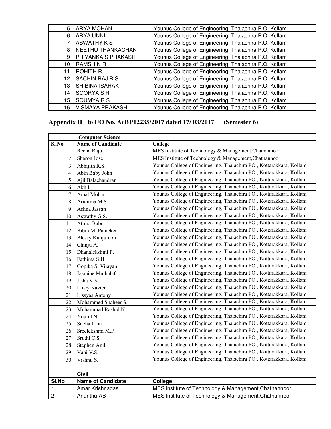| 5  | ARYA MOHAN             | Younus College of Engineering, Thalachira P.O, Kollam |
|----|------------------------|-------------------------------------------------------|
| 6  | <b>ARYA UNNI</b>       | Younus College of Engineering, Thalachira P.O, Kollam |
|    | <b>ASWATHY K S</b>     | Younus College of Engineering, Thalachira P.O, Kollam |
| 8  | NEETHU THANKACHAN      | Younus College of Engineering, Thalachira P.O, Kollam |
| 9  | PRIYANKA S PRAKASH     | Younus College of Engineering, Thalachira P.O, Kollam |
| 10 | <b>RAMSHIN R</b>       | Younus College of Engineering, Thalachira P.O, Kollam |
| 11 | <b>ROHITH R</b>        | Younus College of Engineering, Thalachira P.O, Kollam |
| 12 | SACHIN RAJ R S         | Younus College of Engineering, Thalachira P.O, Kollam |
| 13 | SHIBINA ISAHAK         | Younus College of Engineering, Thalachira P.O, Kollam |
| 14 | SOORYA S R             | Younus College of Engineering, Thalachira P.O, Kollam |
| 15 | SOUMYA R S             | Younus College of Engineering, Thalachira P.O, Kollam |
| 16 | <b>VISMAYA PRAKASH</b> | Younus College of Engineering, Thalachira P.O, Kollam |

## **Appendix II to UO No. AcBI/12235/2017 dated 17/ 03/2017 (Semester 6)**

|                | <b>Computer Science</b>  |                                                                     |
|----------------|--------------------------|---------------------------------------------------------------------|
| Sl.No          | <b>Name of Candidate</b> | College                                                             |
| 1              | Reena Raju               | MES Institute of Technology & Management, Chathannoor               |
| $\overline{2}$ | Sharon Jose              | MES Institute of Technology & Management, Chathannoor               |
| 3              | Abhijith R.S.            | Younus College of Engineering, Thalachira PO., Kottarakkara, Kollam |
| 4              | Abin Baby John           | Younus College of Engineering, Thalachira PO., Kottarakkara, Kollam |
| 5              | Ajil Balachandran        | Younus College of Engineering, Thalachira PO., Kottarakkara, Kollam |
| 6              | Akhil                    | Younus College of Engineering, Thalachira PO., Kottarakkara, Kollam |
| 7              | Amal Mohan               | Younus College of Engineering, Thalachira PO., Kottarakkara, Kollam |
| 8              | Arunima M.S              | Younus College of Engineering, Thalachira PO., Kottarakkara, Kollam |
| 9              | Ashna Jassan             | Younus College of Engineering, Thalachira PO., Kottarakkara, Kollam |
| 10             | Aswathy G.S.             | Younus College of Engineering, Thalachira PO., Kottarakkara, Kollam |
| 11             | Athira Babu              | Younus College of Engineering, Thalachira PO., Kottarakkara, Kollam |
| 12             | Bibin M. Panicker        | Younus College of Engineering, Thalachira PO., Kottarakkara, Kollam |
| 13             | <b>Blessy Kunjumon</b>   | Younus College of Engineering, Thalachira PO., Kottarakkara, Kollam |
| 14             | Chinju A.                | Younus College of Engineering, Thalachira PO., Kottarakkara, Kollam |
| 15             | Dhanalekshmi P.          | Younus College of Engineering, Thalachira PO., Kottarakkara, Kollam |
| 16             | Fathima S.H.             | Younus College of Engineering, Thalachira PO., Kottarakkara, Kollam |
| 17             | Gopika S. Vijayan        | Younus College of Engineering, Thalachira PO., Kottarakkara, Kollam |
| 18             | Jasmine Muthalaf         | Younus College of Engineering, Thalachira PO., Kottarakkara, Kollam |
| 19             | Jisha V.S.               | Younus College of Engineering, Thalachira PO., Kottarakkara, Kollam |
| 20             | Lincy Xavier             | Younus College of Engineering, Thalachira PO., Kottarakkara, Kollam |
| 21             | Lissyas Antony           | Younus College of Engineering, Thalachira PO., Kottarakkara, Kollam |
| 22             | Mohammed Shaheer S.      | Younus College of Engineering, Thalachira PO., Kottarakkara, Kollam |
| 23             | Muhammad Rashid N.       | Younus College of Engineering, Thalachira PO., Kottarakkara, Kollam |
| 24             | Noufal N                 | Younus College of Engineering, Thalachira PO., Kottarakkara, Kollam |
| 25             | Sneha John               | Younus College of Engineering, Thalachira PO., Kottarakkara, Kollam |
| 26             | Sreelekshmi M.P.         | Younus College of Engineering, Thalachira PO., Kottarakkara, Kollam |
| 27             | Sruthi C.S.              | Younus College of Engineering, Thalachira PO., Kottarakkara, Kollam |
| 28             | Stephen Anil             | Younus College of Engineering, Thalachira PO., Kottarakkara, Kollam |
| 29             | Vani V.S.                | Younus College of Engineering, Thalachira PO., Kottarakkara, Kollam |
| 30             | Vishnu S.                | Younus College of Engineering, Thalachira PO., Kottarakkara, Kollam |
|                |                          |                                                                     |
|                | <b>Civil</b>             |                                                                     |
| SI.No          | <b>Name of Candidate</b> | College                                                             |
| 1              | Amar Krishnadas          | MES Institute of Technology & Management, Chathannoor               |
| $\overline{2}$ | Ananthu AB               | MES Institute of Technology & Management, Chathannoor               |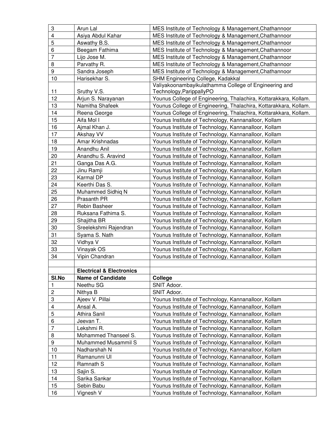| 3                       | Arun Lal                            | MES Institute of Technology & Management, Chathannoor                                                        |
|-------------------------|-------------------------------------|--------------------------------------------------------------------------------------------------------------|
| $\overline{\mathbf{4}}$ | Asiya Abdul Kahar                   | MES Institute of Technology & Management, Chathannoor                                                        |
| 5                       | Aswathy B.S.                        | MES Institute of Technology & Management, Chathannoor                                                        |
| 6                       | Beegam Fathima                      | MES Institute of Technology & Management, Chathannoor                                                        |
| 7                       | Lijo Jose M.                        | MES Institute of Technology & Management, Chathannoor                                                        |
| 8                       | Parvathy R.                         | MES Institute of Technology & Management, Chathannoor                                                        |
| 9                       | Sandra Joseph                       | MES Institute of Technology & Management, Chathannoor                                                        |
| 10                      | Harisekhar S.                       | SHM Engineering College, Kadakkal                                                                            |
|                         |                                     | Valiyakoonambayikulathamma College of Engineering and                                                        |
| 11                      | Sruthy V.S.                         | Technology, ParippallyPO                                                                                     |
| 12                      | Arjun S. Narayanan                  | Younus College of Engineering, Thalachira, Kottarakkara, Kollam.                                             |
| 13                      | Namitha Shafeek                     | Younus College of Engineering, Thalachira, Kottarakkara, Kollam.                                             |
| 14                      | Reena George                        | Younus College of Engineering, Thalachira, Kottarakkara, Kollam.                                             |
| 15                      | Aifa Mol I                          | Younus Institute of Technology, Kannanalloor, Kollam                                                         |
| 16                      | Ajmal Khan J.                       | Younus Institute of Technology, Kannanalloor, Kollam                                                         |
| 17                      | Akshay VV                           | Younus Institute of Technology, Kannanalloor, Kollam                                                         |
| 18                      | Amar Krishnadas                     | Younus Institute of Technology, Kannanalloor, Kollam                                                         |
| 19                      | Anandhu Anil                        | Younus Institute of Technology, Kannanalloor, Kollam                                                         |
| 20                      | Anandhu S. Aravind                  | Younus Institute of Technology, Kannanalloor, Kollam                                                         |
| 21                      | Ganga Das A.G.                      | Younus Institute of Technology, Kannanalloor, Kollam                                                         |
| 22                      | Jinu Ramji                          | Younus Institute of Technology, Kannanalloor, Kollam                                                         |
| 23                      | Karmal DP                           | Younus Institute of Technology, Kannanalloor, Kollam                                                         |
| 24                      | Keerthi Das S.                      | Younus Institute of Technology, Kannanalloor, Kollam                                                         |
| 25                      | Muhammed Sidhiq N                   | Younus Institute of Technology, Kannanalloor, Kollam                                                         |
| 26                      | Prasanth PR                         | Younus Institute of Technology, Kannanalloor, Kollam                                                         |
| 27                      | Rebin Basheer                       | Younus Institute of Technology, Kannanalloor, Kollam                                                         |
| 28                      | Ruksana Fathima S.                  | Younus Institute of Technology, Kannanalloor, Kollam                                                         |
| 29                      | Shajitha BR                         | Younus Institute of Technology, Kannanalloor, Kollam                                                         |
| 30                      | Sreelekshmi Rajendran               | Younus Institute of Technology, Kannanalloor, Kollam                                                         |
| 31                      | Syama S. Nath                       | Younus Institute of Technology, Kannanalloor, Kollam                                                         |
| 32                      | Vidhya V                            | Younus Institute of Technology, Kannanalloor, Kollam                                                         |
| 33                      | Vinayak OS                          | Younus Institute of Technology, Kannanalloor, Kollam                                                         |
| 34                      | Vipin Chandran                      | Younus Institute of Technology, Kannanalloor, Kollam                                                         |
|                         |                                     |                                                                                                              |
|                         | <b>Electrical &amp; Electronics</b> |                                                                                                              |
| SI.No                   | <b>Name of Candidate</b>            | College                                                                                                      |
| 1                       |                                     |                                                                                                              |
| $\sqrt{2}$              | Neethu SG                           | SNIT Adoor.                                                                                                  |
|                         | Nithya B                            | SNIT Adoor.                                                                                                  |
| 3                       | Ajeev V. Pillai                     | Younus Institute of Technology, Kannanalloor, Kollam                                                         |
| $\overline{\mathbf{4}}$ | Ansal A.                            | Younus Institute of Technology, Kannanalloor, Kollam                                                         |
| 5                       | Athira Sanil                        | Younus Institute of Technology, Kannanalloor, Kollam                                                         |
| 6                       | Jeevan T.                           | Younus Institute of Technology, Kannanalloor, Kollam                                                         |
| $\overline{7}$          | Lekshmi R.                          | Younus Institute of Technology, Kannanalloor, Kollam                                                         |
| 8                       | Mohammed Thanseel S.                | Younus Institute of Technology, Kannanalloor, Kollam                                                         |
| $\boldsymbol{9}$        | Muhammed Musammil S                 | Younus Institute of Technology, Kannanalloor, Kollam                                                         |
| 10                      | Nadharshah N                        | Younus Institute of Technology, Kannanalloor, Kollam                                                         |
| 11                      | Ramanunni UI                        | Younus Institute of Technology, Kannanalloor, Kollam                                                         |
| 12                      | Ramnath S                           | Younus Institute of Technology, Kannanalloor, Kollam                                                         |
| 13                      | Sajin S.                            | Younus Institute of Technology, Kannanalloor, Kollam                                                         |
| 14                      | Sarika Sankar                       | Younus Institute of Technology, Kannanalloor, Kollam                                                         |
| 15<br>16                | Sebin Babu<br>Vignesh V             | Younus Institute of Technology, Kannanalloor, Kollam<br>Younus Institute of Technology, Kannanalloor, Kollam |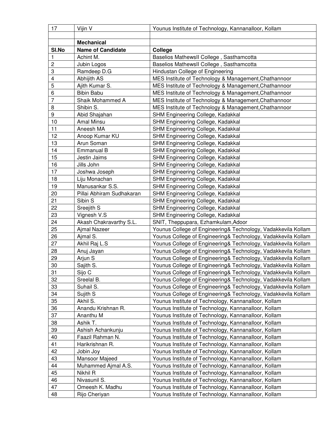| <b>Mechanical</b><br>SI.No<br><b>Name of Candidate</b><br>College<br>$\mathbf{1}$<br>Achint M.<br>Baselios MathewsII College, Sasthamcotta<br>$\overline{c}$<br>Baselios MathewsII College, Sasthamcotta<br>Jubin Logos<br>$\ensuremath{\mathsf{3}}$<br>Ramdeep D.G<br>Hindustan College of Engineering<br><b>Abhijith AS</b><br>4<br>MES Institute of Technology & Management, Chathannoor<br>5<br>Ajith Kumar S.<br>MES Institute of Technology & Management, Chathannoor<br>6<br><b>Bibin Babu</b><br>MES Institute of Technology & Management, Chathannoor<br>$\overline{7}$<br>Shaik Mohammed A<br>MES Institute of Technology & Management, Chathannoor<br>8<br>Shibin S.<br>MES Institute of Technology & Management, Chathannoor<br>$\boldsymbol{9}$<br>Abid Shajahan<br>SHM Engineering College, Kadakkal<br>10<br>Amal Minsu<br>SHM Engineering College, Kadakkal<br>11<br>Aneesh MA<br>SHM Engineering College, Kadakkal<br>12<br>Anoop Kumar KU<br>SHM Engineering College, Kadakkal<br>13<br>Arun Soman<br>SHM Engineering College, Kadakkal<br>14<br>Emmanual B<br>SHM Engineering College, Kadakkal<br>15<br>Jestin Jaims<br>SHM Engineering College, Kadakkal<br>16<br>Jills John<br>SHM Engineering College, Kadakkal<br>17<br>SHM Engineering College, Kadakkal<br>Joshwa Joseph<br>18<br>Liju Monachan<br>SHM Engineering College, Kadakkal<br>Manusankar S.S.<br>19<br>SHM Engineering College, Kadakkal<br>20<br>Pillai Abhiram Sudhakaran<br>SHM Engineering College, Kadakkal<br>21<br>Sibin S<br>SHM Engineering College, Kadakkal<br>22<br>Sreejith S<br>SHM Engineering College, Kadakkal<br>23<br>Vignesh V.S<br>SHM Engineering College, Kadakkal<br>24<br>Akash Chakravarthy S.L.<br>SNIT, Theppupara, Ezhamkulam, Adoor<br>25<br>Ajmal Nazeer<br>Younus College of Engineering& Technology, Vadakkevila Kollam<br>26<br>Ajmal S.<br>Younus College of Engineering& Technology, Vadakkevila Kollam<br>27<br>Akhil Raj L.S<br>Younus College of Engineering& Technology, Vadakkevila Kollam<br>28<br>Anuj Jayan<br>Younus College of Engineering& Technology, Vadakkevila Kollam<br>29<br>Arjun S<br>Younus College of Engineering& Technology, Vadakkevila Kollam<br>30<br>Younus College of Engineering& Technology, Vadakkevila Kollam<br>Sajith S.<br>31<br>Sijo C<br>Younus College of Engineering& Technology, Vadakkevila Kollam<br>32<br>Sreelal B.<br>Younus College of Engineering& Technology, Vadakkevila Kollam<br>33<br>Suhail S.<br>Younus College of Engineering& Technology, Vadakkevila Kollam<br>34<br>Sujith S<br>Younus College of Engineering& Technology, Vadakkevila Kollam<br>35<br>Akhil S.<br>Younus Institute of Technology, Kannanalloor, Kollam<br>36<br>Anandu Krishnan R.<br>Younus Institute of Technology, Kannanalloor, Kollam<br>37<br>Ananthu M<br>Younus Institute of Technology, Kannanalloor, Kollam<br>38<br>Ashik T.<br>Younus Institute of Technology, Kannanalloor, Kollam<br>39<br>Younus Institute of Technology, Kannanalloor, Kollam<br>Ashish Achankunju<br>Younus Institute of Technology, Kannanalloor, Kollam<br>40<br>Faazil Rahman N.<br>41<br>Harikrishnan R.<br>Younus Institute of Technology, Kannanalloor, Kollam<br>42<br>Jobin Joy<br>Younus Institute of Technology, Kannanalloor, Kollam<br>43<br>Mansoor Majeed<br>Younus Institute of Technology, Kannanalloor, Kollam<br>44<br>Younus Institute of Technology, Kannanalloor, Kollam<br>Muhammed Ajmal A.S.<br>45<br>Younus Institute of Technology, Kannanalloor, Kollam<br>Nikhil R<br>46<br>Younus Institute of Technology, Kannanalloor, Kollam<br>Nivasunil S.<br>47<br>Omeesh K. Madhu<br>Younus Institute of Technology, Kannanalloor, Kollam<br>Younus Institute of Technology, Kannanalloor, Kollam<br>48<br>Rijo Cheriyan | 17 | Vijin V | Younus Institute of Technology, Kannanalloor, Kollam |
|----------------------------------------------------------------------------------------------------------------------------------------------------------------------------------------------------------------------------------------------------------------------------------------------------------------------------------------------------------------------------------------------------------------------------------------------------------------------------------------------------------------------------------------------------------------------------------------------------------------------------------------------------------------------------------------------------------------------------------------------------------------------------------------------------------------------------------------------------------------------------------------------------------------------------------------------------------------------------------------------------------------------------------------------------------------------------------------------------------------------------------------------------------------------------------------------------------------------------------------------------------------------------------------------------------------------------------------------------------------------------------------------------------------------------------------------------------------------------------------------------------------------------------------------------------------------------------------------------------------------------------------------------------------------------------------------------------------------------------------------------------------------------------------------------------------------------------------------------------------------------------------------------------------------------------------------------------------------------------------------------------------------------------------------------------------------------------------------------------------------------------------------------------------------------------------------------------------------------------------------------------------------------------------------------------------------------------------------------------------------------------------------------------------------------------------------------------------------------------------------------------------------------------------------------------------------------------------------------------------------------------------------------------------------------------------------------------------------------------------------------------------------------------------------------------------------------------------------------------------------------------------------------------------------------------------------------------------------------------------------------------------------------------------------------------------------------------------------------------------------------------------------------------------------------------------------------------------------------------------------------------------------------------------------------------------------------------------------------------------------------------------------------------------------------------------------------------------------------------------------------------------------------------------------------------------------------------------------------------------------------------------------------------------------------------------------------------------------------------------------------------------------------------|----|---------|------------------------------------------------------|
|                                                                                                                                                                                                                                                                                                                                                                                                                                                                                                                                                                                                                                                                                                                                                                                                                                                                                                                                                                                                                                                                                                                                                                                                                                                                                                                                                                                                                                                                                                                                                                                                                                                                                                                                                                                                                                                                                                                                                                                                                                                                                                                                                                                                                                                                                                                                                                                                                                                                                                                                                                                                                                                                                                                                                                                                                                                                                                                                                                                                                                                                                                                                                                                                                                                                                                                                                                                                                                                                                                                                                                                                                                                                                                                                                                                  |    |         |                                                      |
|                                                                                                                                                                                                                                                                                                                                                                                                                                                                                                                                                                                                                                                                                                                                                                                                                                                                                                                                                                                                                                                                                                                                                                                                                                                                                                                                                                                                                                                                                                                                                                                                                                                                                                                                                                                                                                                                                                                                                                                                                                                                                                                                                                                                                                                                                                                                                                                                                                                                                                                                                                                                                                                                                                                                                                                                                                                                                                                                                                                                                                                                                                                                                                                                                                                                                                                                                                                                                                                                                                                                                                                                                                                                                                                                                                                  |    |         |                                                      |
|                                                                                                                                                                                                                                                                                                                                                                                                                                                                                                                                                                                                                                                                                                                                                                                                                                                                                                                                                                                                                                                                                                                                                                                                                                                                                                                                                                                                                                                                                                                                                                                                                                                                                                                                                                                                                                                                                                                                                                                                                                                                                                                                                                                                                                                                                                                                                                                                                                                                                                                                                                                                                                                                                                                                                                                                                                                                                                                                                                                                                                                                                                                                                                                                                                                                                                                                                                                                                                                                                                                                                                                                                                                                                                                                                                                  |    |         |                                                      |
|                                                                                                                                                                                                                                                                                                                                                                                                                                                                                                                                                                                                                                                                                                                                                                                                                                                                                                                                                                                                                                                                                                                                                                                                                                                                                                                                                                                                                                                                                                                                                                                                                                                                                                                                                                                                                                                                                                                                                                                                                                                                                                                                                                                                                                                                                                                                                                                                                                                                                                                                                                                                                                                                                                                                                                                                                                                                                                                                                                                                                                                                                                                                                                                                                                                                                                                                                                                                                                                                                                                                                                                                                                                                                                                                                                                  |    |         |                                                      |
|                                                                                                                                                                                                                                                                                                                                                                                                                                                                                                                                                                                                                                                                                                                                                                                                                                                                                                                                                                                                                                                                                                                                                                                                                                                                                                                                                                                                                                                                                                                                                                                                                                                                                                                                                                                                                                                                                                                                                                                                                                                                                                                                                                                                                                                                                                                                                                                                                                                                                                                                                                                                                                                                                                                                                                                                                                                                                                                                                                                                                                                                                                                                                                                                                                                                                                                                                                                                                                                                                                                                                                                                                                                                                                                                                                                  |    |         |                                                      |
|                                                                                                                                                                                                                                                                                                                                                                                                                                                                                                                                                                                                                                                                                                                                                                                                                                                                                                                                                                                                                                                                                                                                                                                                                                                                                                                                                                                                                                                                                                                                                                                                                                                                                                                                                                                                                                                                                                                                                                                                                                                                                                                                                                                                                                                                                                                                                                                                                                                                                                                                                                                                                                                                                                                                                                                                                                                                                                                                                                                                                                                                                                                                                                                                                                                                                                                                                                                                                                                                                                                                                                                                                                                                                                                                                                                  |    |         |                                                      |
|                                                                                                                                                                                                                                                                                                                                                                                                                                                                                                                                                                                                                                                                                                                                                                                                                                                                                                                                                                                                                                                                                                                                                                                                                                                                                                                                                                                                                                                                                                                                                                                                                                                                                                                                                                                                                                                                                                                                                                                                                                                                                                                                                                                                                                                                                                                                                                                                                                                                                                                                                                                                                                                                                                                                                                                                                                                                                                                                                                                                                                                                                                                                                                                                                                                                                                                                                                                                                                                                                                                                                                                                                                                                                                                                                                                  |    |         |                                                      |
|                                                                                                                                                                                                                                                                                                                                                                                                                                                                                                                                                                                                                                                                                                                                                                                                                                                                                                                                                                                                                                                                                                                                                                                                                                                                                                                                                                                                                                                                                                                                                                                                                                                                                                                                                                                                                                                                                                                                                                                                                                                                                                                                                                                                                                                                                                                                                                                                                                                                                                                                                                                                                                                                                                                                                                                                                                                                                                                                                                                                                                                                                                                                                                                                                                                                                                                                                                                                                                                                                                                                                                                                                                                                                                                                                                                  |    |         |                                                      |
|                                                                                                                                                                                                                                                                                                                                                                                                                                                                                                                                                                                                                                                                                                                                                                                                                                                                                                                                                                                                                                                                                                                                                                                                                                                                                                                                                                                                                                                                                                                                                                                                                                                                                                                                                                                                                                                                                                                                                                                                                                                                                                                                                                                                                                                                                                                                                                                                                                                                                                                                                                                                                                                                                                                                                                                                                                                                                                                                                                                                                                                                                                                                                                                                                                                                                                                                                                                                                                                                                                                                                                                                                                                                                                                                                                                  |    |         |                                                      |
|                                                                                                                                                                                                                                                                                                                                                                                                                                                                                                                                                                                                                                                                                                                                                                                                                                                                                                                                                                                                                                                                                                                                                                                                                                                                                                                                                                                                                                                                                                                                                                                                                                                                                                                                                                                                                                                                                                                                                                                                                                                                                                                                                                                                                                                                                                                                                                                                                                                                                                                                                                                                                                                                                                                                                                                                                                                                                                                                                                                                                                                                                                                                                                                                                                                                                                                                                                                                                                                                                                                                                                                                                                                                                                                                                                                  |    |         |                                                      |
|                                                                                                                                                                                                                                                                                                                                                                                                                                                                                                                                                                                                                                                                                                                                                                                                                                                                                                                                                                                                                                                                                                                                                                                                                                                                                                                                                                                                                                                                                                                                                                                                                                                                                                                                                                                                                                                                                                                                                                                                                                                                                                                                                                                                                                                                                                                                                                                                                                                                                                                                                                                                                                                                                                                                                                                                                                                                                                                                                                                                                                                                                                                                                                                                                                                                                                                                                                                                                                                                                                                                                                                                                                                                                                                                                                                  |    |         |                                                      |
|                                                                                                                                                                                                                                                                                                                                                                                                                                                                                                                                                                                                                                                                                                                                                                                                                                                                                                                                                                                                                                                                                                                                                                                                                                                                                                                                                                                                                                                                                                                                                                                                                                                                                                                                                                                                                                                                                                                                                                                                                                                                                                                                                                                                                                                                                                                                                                                                                                                                                                                                                                                                                                                                                                                                                                                                                                                                                                                                                                                                                                                                                                                                                                                                                                                                                                                                                                                                                                                                                                                                                                                                                                                                                                                                                                                  |    |         |                                                      |
|                                                                                                                                                                                                                                                                                                                                                                                                                                                                                                                                                                                                                                                                                                                                                                                                                                                                                                                                                                                                                                                                                                                                                                                                                                                                                                                                                                                                                                                                                                                                                                                                                                                                                                                                                                                                                                                                                                                                                                                                                                                                                                                                                                                                                                                                                                                                                                                                                                                                                                                                                                                                                                                                                                                                                                                                                                                                                                                                                                                                                                                                                                                                                                                                                                                                                                                                                                                                                                                                                                                                                                                                                                                                                                                                                                                  |    |         |                                                      |
|                                                                                                                                                                                                                                                                                                                                                                                                                                                                                                                                                                                                                                                                                                                                                                                                                                                                                                                                                                                                                                                                                                                                                                                                                                                                                                                                                                                                                                                                                                                                                                                                                                                                                                                                                                                                                                                                                                                                                                                                                                                                                                                                                                                                                                                                                                                                                                                                                                                                                                                                                                                                                                                                                                                                                                                                                                                                                                                                                                                                                                                                                                                                                                                                                                                                                                                                                                                                                                                                                                                                                                                                                                                                                                                                                                                  |    |         |                                                      |
|                                                                                                                                                                                                                                                                                                                                                                                                                                                                                                                                                                                                                                                                                                                                                                                                                                                                                                                                                                                                                                                                                                                                                                                                                                                                                                                                                                                                                                                                                                                                                                                                                                                                                                                                                                                                                                                                                                                                                                                                                                                                                                                                                                                                                                                                                                                                                                                                                                                                                                                                                                                                                                                                                                                                                                                                                                                                                                                                                                                                                                                                                                                                                                                                                                                                                                                                                                                                                                                                                                                                                                                                                                                                                                                                                                                  |    |         |                                                      |
|                                                                                                                                                                                                                                                                                                                                                                                                                                                                                                                                                                                                                                                                                                                                                                                                                                                                                                                                                                                                                                                                                                                                                                                                                                                                                                                                                                                                                                                                                                                                                                                                                                                                                                                                                                                                                                                                                                                                                                                                                                                                                                                                                                                                                                                                                                                                                                                                                                                                                                                                                                                                                                                                                                                                                                                                                                                                                                                                                                                                                                                                                                                                                                                                                                                                                                                                                                                                                                                                                                                                                                                                                                                                                                                                                                                  |    |         |                                                      |
|                                                                                                                                                                                                                                                                                                                                                                                                                                                                                                                                                                                                                                                                                                                                                                                                                                                                                                                                                                                                                                                                                                                                                                                                                                                                                                                                                                                                                                                                                                                                                                                                                                                                                                                                                                                                                                                                                                                                                                                                                                                                                                                                                                                                                                                                                                                                                                                                                                                                                                                                                                                                                                                                                                                                                                                                                                                                                                                                                                                                                                                                                                                                                                                                                                                                                                                                                                                                                                                                                                                                                                                                                                                                                                                                                                                  |    |         |                                                      |
|                                                                                                                                                                                                                                                                                                                                                                                                                                                                                                                                                                                                                                                                                                                                                                                                                                                                                                                                                                                                                                                                                                                                                                                                                                                                                                                                                                                                                                                                                                                                                                                                                                                                                                                                                                                                                                                                                                                                                                                                                                                                                                                                                                                                                                                                                                                                                                                                                                                                                                                                                                                                                                                                                                                                                                                                                                                                                                                                                                                                                                                                                                                                                                                                                                                                                                                                                                                                                                                                                                                                                                                                                                                                                                                                                                                  |    |         |                                                      |
|                                                                                                                                                                                                                                                                                                                                                                                                                                                                                                                                                                                                                                                                                                                                                                                                                                                                                                                                                                                                                                                                                                                                                                                                                                                                                                                                                                                                                                                                                                                                                                                                                                                                                                                                                                                                                                                                                                                                                                                                                                                                                                                                                                                                                                                                                                                                                                                                                                                                                                                                                                                                                                                                                                                                                                                                                                                                                                                                                                                                                                                                                                                                                                                                                                                                                                                                                                                                                                                                                                                                                                                                                                                                                                                                                                                  |    |         |                                                      |
|                                                                                                                                                                                                                                                                                                                                                                                                                                                                                                                                                                                                                                                                                                                                                                                                                                                                                                                                                                                                                                                                                                                                                                                                                                                                                                                                                                                                                                                                                                                                                                                                                                                                                                                                                                                                                                                                                                                                                                                                                                                                                                                                                                                                                                                                                                                                                                                                                                                                                                                                                                                                                                                                                                                                                                                                                                                                                                                                                                                                                                                                                                                                                                                                                                                                                                                                                                                                                                                                                                                                                                                                                                                                                                                                                                                  |    |         |                                                      |
|                                                                                                                                                                                                                                                                                                                                                                                                                                                                                                                                                                                                                                                                                                                                                                                                                                                                                                                                                                                                                                                                                                                                                                                                                                                                                                                                                                                                                                                                                                                                                                                                                                                                                                                                                                                                                                                                                                                                                                                                                                                                                                                                                                                                                                                                                                                                                                                                                                                                                                                                                                                                                                                                                                                                                                                                                                                                                                                                                                                                                                                                                                                                                                                                                                                                                                                                                                                                                                                                                                                                                                                                                                                                                                                                                                                  |    |         |                                                      |
|                                                                                                                                                                                                                                                                                                                                                                                                                                                                                                                                                                                                                                                                                                                                                                                                                                                                                                                                                                                                                                                                                                                                                                                                                                                                                                                                                                                                                                                                                                                                                                                                                                                                                                                                                                                                                                                                                                                                                                                                                                                                                                                                                                                                                                                                                                                                                                                                                                                                                                                                                                                                                                                                                                                                                                                                                                                                                                                                                                                                                                                                                                                                                                                                                                                                                                                                                                                                                                                                                                                                                                                                                                                                                                                                                                                  |    |         |                                                      |
|                                                                                                                                                                                                                                                                                                                                                                                                                                                                                                                                                                                                                                                                                                                                                                                                                                                                                                                                                                                                                                                                                                                                                                                                                                                                                                                                                                                                                                                                                                                                                                                                                                                                                                                                                                                                                                                                                                                                                                                                                                                                                                                                                                                                                                                                                                                                                                                                                                                                                                                                                                                                                                                                                                                                                                                                                                                                                                                                                                                                                                                                                                                                                                                                                                                                                                                                                                                                                                                                                                                                                                                                                                                                                                                                                                                  |    |         |                                                      |
|                                                                                                                                                                                                                                                                                                                                                                                                                                                                                                                                                                                                                                                                                                                                                                                                                                                                                                                                                                                                                                                                                                                                                                                                                                                                                                                                                                                                                                                                                                                                                                                                                                                                                                                                                                                                                                                                                                                                                                                                                                                                                                                                                                                                                                                                                                                                                                                                                                                                                                                                                                                                                                                                                                                                                                                                                                                                                                                                                                                                                                                                                                                                                                                                                                                                                                                                                                                                                                                                                                                                                                                                                                                                                                                                                                                  |    |         |                                                      |
|                                                                                                                                                                                                                                                                                                                                                                                                                                                                                                                                                                                                                                                                                                                                                                                                                                                                                                                                                                                                                                                                                                                                                                                                                                                                                                                                                                                                                                                                                                                                                                                                                                                                                                                                                                                                                                                                                                                                                                                                                                                                                                                                                                                                                                                                                                                                                                                                                                                                                                                                                                                                                                                                                                                                                                                                                                                                                                                                                                                                                                                                                                                                                                                                                                                                                                                                                                                                                                                                                                                                                                                                                                                                                                                                                                                  |    |         |                                                      |
|                                                                                                                                                                                                                                                                                                                                                                                                                                                                                                                                                                                                                                                                                                                                                                                                                                                                                                                                                                                                                                                                                                                                                                                                                                                                                                                                                                                                                                                                                                                                                                                                                                                                                                                                                                                                                                                                                                                                                                                                                                                                                                                                                                                                                                                                                                                                                                                                                                                                                                                                                                                                                                                                                                                                                                                                                                                                                                                                                                                                                                                                                                                                                                                                                                                                                                                                                                                                                                                                                                                                                                                                                                                                                                                                                                                  |    |         |                                                      |
|                                                                                                                                                                                                                                                                                                                                                                                                                                                                                                                                                                                                                                                                                                                                                                                                                                                                                                                                                                                                                                                                                                                                                                                                                                                                                                                                                                                                                                                                                                                                                                                                                                                                                                                                                                                                                                                                                                                                                                                                                                                                                                                                                                                                                                                                                                                                                                                                                                                                                                                                                                                                                                                                                                                                                                                                                                                                                                                                                                                                                                                                                                                                                                                                                                                                                                                                                                                                                                                                                                                                                                                                                                                                                                                                                                                  |    |         |                                                      |
|                                                                                                                                                                                                                                                                                                                                                                                                                                                                                                                                                                                                                                                                                                                                                                                                                                                                                                                                                                                                                                                                                                                                                                                                                                                                                                                                                                                                                                                                                                                                                                                                                                                                                                                                                                                                                                                                                                                                                                                                                                                                                                                                                                                                                                                                                                                                                                                                                                                                                                                                                                                                                                                                                                                                                                                                                                                                                                                                                                                                                                                                                                                                                                                                                                                                                                                                                                                                                                                                                                                                                                                                                                                                                                                                                                                  |    |         |                                                      |
|                                                                                                                                                                                                                                                                                                                                                                                                                                                                                                                                                                                                                                                                                                                                                                                                                                                                                                                                                                                                                                                                                                                                                                                                                                                                                                                                                                                                                                                                                                                                                                                                                                                                                                                                                                                                                                                                                                                                                                                                                                                                                                                                                                                                                                                                                                                                                                                                                                                                                                                                                                                                                                                                                                                                                                                                                                                                                                                                                                                                                                                                                                                                                                                                                                                                                                                                                                                                                                                                                                                                                                                                                                                                                                                                                                                  |    |         |                                                      |
|                                                                                                                                                                                                                                                                                                                                                                                                                                                                                                                                                                                                                                                                                                                                                                                                                                                                                                                                                                                                                                                                                                                                                                                                                                                                                                                                                                                                                                                                                                                                                                                                                                                                                                                                                                                                                                                                                                                                                                                                                                                                                                                                                                                                                                                                                                                                                                                                                                                                                                                                                                                                                                                                                                                                                                                                                                                                                                                                                                                                                                                                                                                                                                                                                                                                                                                                                                                                                                                                                                                                                                                                                                                                                                                                                                                  |    |         |                                                      |
|                                                                                                                                                                                                                                                                                                                                                                                                                                                                                                                                                                                                                                                                                                                                                                                                                                                                                                                                                                                                                                                                                                                                                                                                                                                                                                                                                                                                                                                                                                                                                                                                                                                                                                                                                                                                                                                                                                                                                                                                                                                                                                                                                                                                                                                                                                                                                                                                                                                                                                                                                                                                                                                                                                                                                                                                                                                                                                                                                                                                                                                                                                                                                                                                                                                                                                                                                                                                                                                                                                                                                                                                                                                                                                                                                                                  |    |         |                                                      |
|                                                                                                                                                                                                                                                                                                                                                                                                                                                                                                                                                                                                                                                                                                                                                                                                                                                                                                                                                                                                                                                                                                                                                                                                                                                                                                                                                                                                                                                                                                                                                                                                                                                                                                                                                                                                                                                                                                                                                                                                                                                                                                                                                                                                                                                                                                                                                                                                                                                                                                                                                                                                                                                                                                                                                                                                                                                                                                                                                                                                                                                                                                                                                                                                                                                                                                                                                                                                                                                                                                                                                                                                                                                                                                                                                                                  |    |         |                                                      |
|                                                                                                                                                                                                                                                                                                                                                                                                                                                                                                                                                                                                                                                                                                                                                                                                                                                                                                                                                                                                                                                                                                                                                                                                                                                                                                                                                                                                                                                                                                                                                                                                                                                                                                                                                                                                                                                                                                                                                                                                                                                                                                                                                                                                                                                                                                                                                                                                                                                                                                                                                                                                                                                                                                                                                                                                                                                                                                                                                                                                                                                                                                                                                                                                                                                                                                                                                                                                                                                                                                                                                                                                                                                                                                                                                                                  |    |         |                                                      |
|                                                                                                                                                                                                                                                                                                                                                                                                                                                                                                                                                                                                                                                                                                                                                                                                                                                                                                                                                                                                                                                                                                                                                                                                                                                                                                                                                                                                                                                                                                                                                                                                                                                                                                                                                                                                                                                                                                                                                                                                                                                                                                                                                                                                                                                                                                                                                                                                                                                                                                                                                                                                                                                                                                                                                                                                                                                                                                                                                                                                                                                                                                                                                                                                                                                                                                                                                                                                                                                                                                                                                                                                                                                                                                                                                                                  |    |         |                                                      |
|                                                                                                                                                                                                                                                                                                                                                                                                                                                                                                                                                                                                                                                                                                                                                                                                                                                                                                                                                                                                                                                                                                                                                                                                                                                                                                                                                                                                                                                                                                                                                                                                                                                                                                                                                                                                                                                                                                                                                                                                                                                                                                                                                                                                                                                                                                                                                                                                                                                                                                                                                                                                                                                                                                                                                                                                                                                                                                                                                                                                                                                                                                                                                                                                                                                                                                                                                                                                                                                                                                                                                                                                                                                                                                                                                                                  |    |         |                                                      |
|                                                                                                                                                                                                                                                                                                                                                                                                                                                                                                                                                                                                                                                                                                                                                                                                                                                                                                                                                                                                                                                                                                                                                                                                                                                                                                                                                                                                                                                                                                                                                                                                                                                                                                                                                                                                                                                                                                                                                                                                                                                                                                                                                                                                                                                                                                                                                                                                                                                                                                                                                                                                                                                                                                                                                                                                                                                                                                                                                                                                                                                                                                                                                                                                                                                                                                                                                                                                                                                                                                                                                                                                                                                                                                                                                                                  |    |         |                                                      |
|                                                                                                                                                                                                                                                                                                                                                                                                                                                                                                                                                                                                                                                                                                                                                                                                                                                                                                                                                                                                                                                                                                                                                                                                                                                                                                                                                                                                                                                                                                                                                                                                                                                                                                                                                                                                                                                                                                                                                                                                                                                                                                                                                                                                                                                                                                                                                                                                                                                                                                                                                                                                                                                                                                                                                                                                                                                                                                                                                                                                                                                                                                                                                                                                                                                                                                                                                                                                                                                                                                                                                                                                                                                                                                                                                                                  |    |         |                                                      |
|                                                                                                                                                                                                                                                                                                                                                                                                                                                                                                                                                                                                                                                                                                                                                                                                                                                                                                                                                                                                                                                                                                                                                                                                                                                                                                                                                                                                                                                                                                                                                                                                                                                                                                                                                                                                                                                                                                                                                                                                                                                                                                                                                                                                                                                                                                                                                                                                                                                                                                                                                                                                                                                                                                                                                                                                                                                                                                                                                                                                                                                                                                                                                                                                                                                                                                                                                                                                                                                                                                                                                                                                                                                                                                                                                                                  |    |         |                                                      |
|                                                                                                                                                                                                                                                                                                                                                                                                                                                                                                                                                                                                                                                                                                                                                                                                                                                                                                                                                                                                                                                                                                                                                                                                                                                                                                                                                                                                                                                                                                                                                                                                                                                                                                                                                                                                                                                                                                                                                                                                                                                                                                                                                                                                                                                                                                                                                                                                                                                                                                                                                                                                                                                                                                                                                                                                                                                                                                                                                                                                                                                                                                                                                                                                                                                                                                                                                                                                                                                                                                                                                                                                                                                                                                                                                                                  |    |         |                                                      |
|                                                                                                                                                                                                                                                                                                                                                                                                                                                                                                                                                                                                                                                                                                                                                                                                                                                                                                                                                                                                                                                                                                                                                                                                                                                                                                                                                                                                                                                                                                                                                                                                                                                                                                                                                                                                                                                                                                                                                                                                                                                                                                                                                                                                                                                                                                                                                                                                                                                                                                                                                                                                                                                                                                                                                                                                                                                                                                                                                                                                                                                                                                                                                                                                                                                                                                                                                                                                                                                                                                                                                                                                                                                                                                                                                                                  |    |         |                                                      |
|                                                                                                                                                                                                                                                                                                                                                                                                                                                                                                                                                                                                                                                                                                                                                                                                                                                                                                                                                                                                                                                                                                                                                                                                                                                                                                                                                                                                                                                                                                                                                                                                                                                                                                                                                                                                                                                                                                                                                                                                                                                                                                                                                                                                                                                                                                                                                                                                                                                                                                                                                                                                                                                                                                                                                                                                                                                                                                                                                                                                                                                                                                                                                                                                                                                                                                                                                                                                                                                                                                                                                                                                                                                                                                                                                                                  |    |         |                                                      |
|                                                                                                                                                                                                                                                                                                                                                                                                                                                                                                                                                                                                                                                                                                                                                                                                                                                                                                                                                                                                                                                                                                                                                                                                                                                                                                                                                                                                                                                                                                                                                                                                                                                                                                                                                                                                                                                                                                                                                                                                                                                                                                                                                                                                                                                                                                                                                                                                                                                                                                                                                                                                                                                                                                                                                                                                                                                                                                                                                                                                                                                                                                                                                                                                                                                                                                                                                                                                                                                                                                                                                                                                                                                                                                                                                                                  |    |         |                                                      |
|                                                                                                                                                                                                                                                                                                                                                                                                                                                                                                                                                                                                                                                                                                                                                                                                                                                                                                                                                                                                                                                                                                                                                                                                                                                                                                                                                                                                                                                                                                                                                                                                                                                                                                                                                                                                                                                                                                                                                                                                                                                                                                                                                                                                                                                                                                                                                                                                                                                                                                                                                                                                                                                                                                                                                                                                                                                                                                                                                                                                                                                                                                                                                                                                                                                                                                                                                                                                                                                                                                                                                                                                                                                                                                                                                                                  |    |         |                                                      |
|                                                                                                                                                                                                                                                                                                                                                                                                                                                                                                                                                                                                                                                                                                                                                                                                                                                                                                                                                                                                                                                                                                                                                                                                                                                                                                                                                                                                                                                                                                                                                                                                                                                                                                                                                                                                                                                                                                                                                                                                                                                                                                                                                                                                                                                                                                                                                                                                                                                                                                                                                                                                                                                                                                                                                                                                                                                                                                                                                                                                                                                                                                                                                                                                                                                                                                                                                                                                                                                                                                                                                                                                                                                                                                                                                                                  |    |         |                                                      |
|                                                                                                                                                                                                                                                                                                                                                                                                                                                                                                                                                                                                                                                                                                                                                                                                                                                                                                                                                                                                                                                                                                                                                                                                                                                                                                                                                                                                                                                                                                                                                                                                                                                                                                                                                                                                                                                                                                                                                                                                                                                                                                                                                                                                                                                                                                                                                                                                                                                                                                                                                                                                                                                                                                                                                                                                                                                                                                                                                                                                                                                                                                                                                                                                                                                                                                                                                                                                                                                                                                                                                                                                                                                                                                                                                                                  |    |         |                                                      |
|                                                                                                                                                                                                                                                                                                                                                                                                                                                                                                                                                                                                                                                                                                                                                                                                                                                                                                                                                                                                                                                                                                                                                                                                                                                                                                                                                                                                                                                                                                                                                                                                                                                                                                                                                                                                                                                                                                                                                                                                                                                                                                                                                                                                                                                                                                                                                                                                                                                                                                                                                                                                                                                                                                                                                                                                                                                                                                                                                                                                                                                                                                                                                                                                                                                                                                                                                                                                                                                                                                                                                                                                                                                                                                                                                                                  |    |         |                                                      |
|                                                                                                                                                                                                                                                                                                                                                                                                                                                                                                                                                                                                                                                                                                                                                                                                                                                                                                                                                                                                                                                                                                                                                                                                                                                                                                                                                                                                                                                                                                                                                                                                                                                                                                                                                                                                                                                                                                                                                                                                                                                                                                                                                                                                                                                                                                                                                                                                                                                                                                                                                                                                                                                                                                                                                                                                                                                                                                                                                                                                                                                                                                                                                                                                                                                                                                                                                                                                                                                                                                                                                                                                                                                                                                                                                                                  |    |         |                                                      |
|                                                                                                                                                                                                                                                                                                                                                                                                                                                                                                                                                                                                                                                                                                                                                                                                                                                                                                                                                                                                                                                                                                                                                                                                                                                                                                                                                                                                                                                                                                                                                                                                                                                                                                                                                                                                                                                                                                                                                                                                                                                                                                                                                                                                                                                                                                                                                                                                                                                                                                                                                                                                                                                                                                                                                                                                                                                                                                                                                                                                                                                                                                                                                                                                                                                                                                                                                                                                                                                                                                                                                                                                                                                                                                                                                                                  |    |         |                                                      |
|                                                                                                                                                                                                                                                                                                                                                                                                                                                                                                                                                                                                                                                                                                                                                                                                                                                                                                                                                                                                                                                                                                                                                                                                                                                                                                                                                                                                                                                                                                                                                                                                                                                                                                                                                                                                                                                                                                                                                                                                                                                                                                                                                                                                                                                                                                                                                                                                                                                                                                                                                                                                                                                                                                                                                                                                                                                                                                                                                                                                                                                                                                                                                                                                                                                                                                                                                                                                                                                                                                                                                                                                                                                                                                                                                                                  |    |         |                                                      |
|                                                                                                                                                                                                                                                                                                                                                                                                                                                                                                                                                                                                                                                                                                                                                                                                                                                                                                                                                                                                                                                                                                                                                                                                                                                                                                                                                                                                                                                                                                                                                                                                                                                                                                                                                                                                                                                                                                                                                                                                                                                                                                                                                                                                                                                                                                                                                                                                                                                                                                                                                                                                                                                                                                                                                                                                                                                                                                                                                                                                                                                                                                                                                                                                                                                                                                                                                                                                                                                                                                                                                                                                                                                                                                                                                                                  |    |         |                                                      |
|                                                                                                                                                                                                                                                                                                                                                                                                                                                                                                                                                                                                                                                                                                                                                                                                                                                                                                                                                                                                                                                                                                                                                                                                                                                                                                                                                                                                                                                                                                                                                                                                                                                                                                                                                                                                                                                                                                                                                                                                                                                                                                                                                                                                                                                                                                                                                                                                                                                                                                                                                                                                                                                                                                                                                                                                                                                                                                                                                                                                                                                                                                                                                                                                                                                                                                                                                                                                                                                                                                                                                                                                                                                                                                                                                                                  |    |         |                                                      |